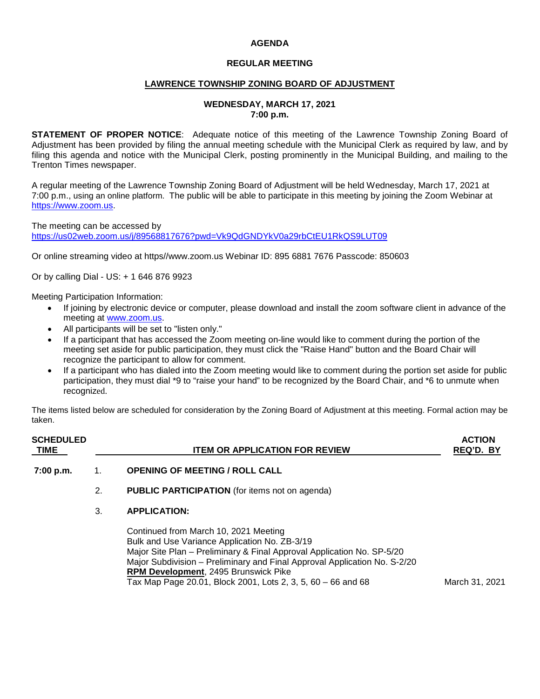# **AGENDA**

### **REGULAR MEETING**

#### **LAWRENCE TOWNSHIP ZONING BOARD OF ADJUSTMENT**

#### **WEDNESDAY, MARCH 17, 2021 7:00 p.m.**

**STATEMENT OF PROPER NOTICE**: Adequate notice of this meeting of the Lawrence Township Zoning Board of Adjustment has been provided by filing the annual meeting schedule with the Municipal Clerk as required by law, and by filing this agenda and notice with the Municipal Clerk, posting prominently in the Municipal Building, and mailing to the Trenton Times newspaper.

A regular meeting of the Lawrence Township Zoning Board of Adjustment will be held Wednesday, March 17, 2021 at 7:00 p.m., using an online platform. The public will be able to participate in this meeting by joining the Zoom Webinar at [https://www.zoom.us.](https://www.zoom.us/)

The meeting can be accessed by <https://us02web.zoom.us/j/89568817676?pwd=Vk9QdGNDYkV0a29rbCtEU1RkQS9LUT09>

Or online streaming video at https//www.zoom.us Webinar ID: 895 6881 7676 Passcode: 850603

Or by calling Dial - US: + 1 646 876 9923

Meeting Participation Information:

- If joining by electronic device or computer, please download and install the zoom software client in advance of the meeting at [www.zoom.us.](http://www.zoom.us/)
- All participants will be set to "listen only."
- If a participant that has accessed the Zoom meeting on-line would like to comment during the portion of the meeting set aside for public participation, they must click the "Raise Hand" button and the Board Chair will recognize the participant to allow for comment.
- If a participant who has dialed into the Zoom meeting would like to comment during the portion set aside for public participation, they must dial \*9 to "raise your hand" to be recognized by the Board Chair, and \*6 to unmute when recognized.

The items listed below are scheduled for consideration by the Zoning Board of Adjustment at this meeting. Formal action may be taken.

| <b>SCHEDULED</b><br><b>TIME</b> |    | <b>ITEM OR APPLICATION FOR REVIEW</b>                                                                                                                                                                                                                                                                                                                        | <b>ACTION</b><br>REQ'D. BY |
|---------------------------------|----|--------------------------------------------------------------------------------------------------------------------------------------------------------------------------------------------------------------------------------------------------------------------------------------------------------------------------------------------------------------|----------------------------|
| 7:00 p.m.                       | 1. | <b>OPENING OF MEETING / ROLL CALL</b>                                                                                                                                                                                                                                                                                                                        |                            |
|                                 | 2. | <b>PUBLIC PARTICIPATION</b> (for items not on agenda)                                                                                                                                                                                                                                                                                                        |                            |
|                                 | 3. | <b>APPLICATION:</b>                                                                                                                                                                                                                                                                                                                                          |                            |
|                                 |    | Continued from March 10, 2021 Meeting<br>Bulk and Use Variance Application No. ZB-3/19<br>Major Site Plan – Preliminary & Final Approval Application No. SP-5/20<br>Major Subdivision - Preliminary and Final Approval Application No. S-2/20<br><b>RPM Development, 2495 Brunswick Pike</b><br>Tax Map Page 20.01, Block 2001, Lots 2, 3, 5, 60 - 66 and 68 | March 31, 2021             |